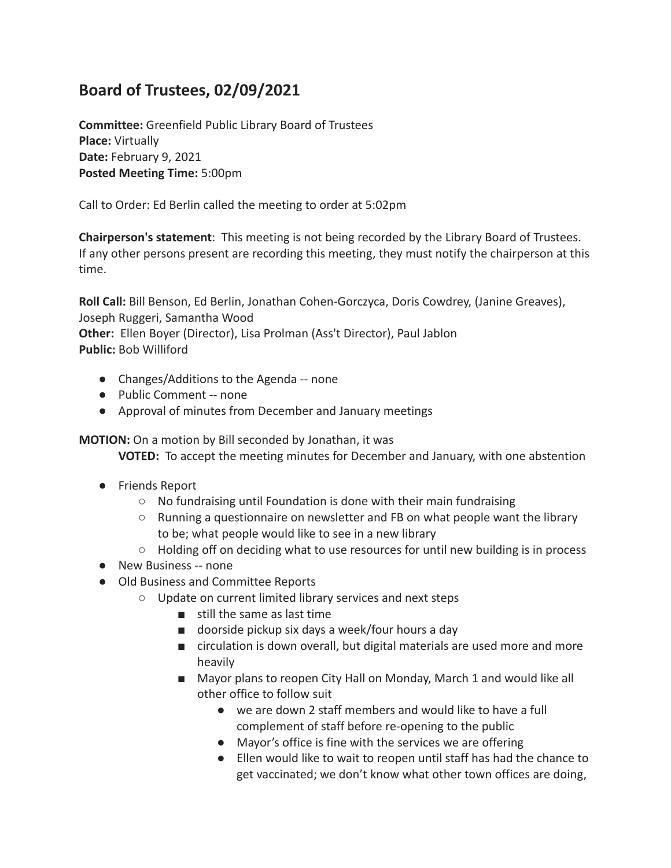## **Board of Trustees, 02/09/2021**

**Committee:** Greenfield Public Library Board of Trustees **Place:** Virtually **Date:** February 9, 2021 **Posted Meeting Time:** 5:00pm

Call to Order: Ed Berlin called the meeting to order at 5:02pm

**Chairperson's statement**: This meeting is not being recorded by the Library Board of Trustees. If any other persons present are recording this meeting, they must notify the chairperson at this time.

**Roll Call:** Bill Benson, Ed Berlin, Jonathan Cohen-Gorczyca, Doris Cowdrey, (Janine Greaves), Joseph Ruggeri, Samantha Wood

**Other:** Ellen Boyer (Director), Lisa Prolman (Ass't Director), Paul Jablon **Public:** Bob Williford

- Changes/Additions to the Agenda -- none
- Public Comment -- none
- Approval of minutes from December and January meetings

**MOTION:** On a motion by Bill seconded by Jonathan, it was

**VOTED:** To accept the meeting minutes for December and January, with one abstention

- Friends Report
	- No fundraising until Foundation is done with their main fundraising
	- Running a questionnaire on newsletter and FB on what people want the library to be; what people would like to see in a new library
	- $\circ$  Holding off on deciding what to use resources for until new building is in process
- New Business -- none
- Old Business and Committee Reports
	- Update on current limited library services and next steps
		- still the same as last time
		- doorside pickup six days a week/four hours a day
		- circulation is down overall, but digital materials are used more and more heavily
		- Mayor plans to reopen City Hall on Monday, March 1 and would like all other office to follow suit
			- we are down 2 staff members and would like to have a full complement of staff before re-opening to the public
			- Mayor's office is fine with the services we are offering
			- Ellen would like to wait to reopen until staff has had the chance to get vaccinated; we don't know what other town offices are doing,